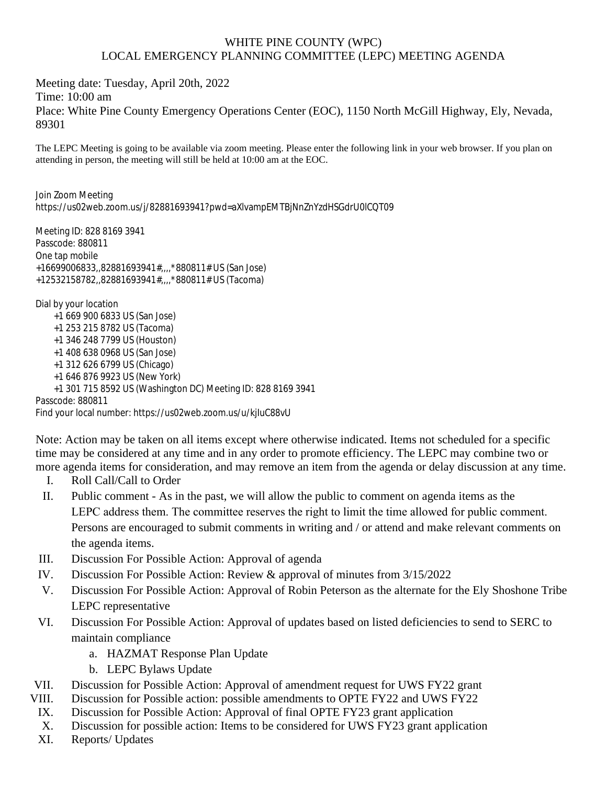## WHITE PINE COUNTY (WPC) LOCAL EMERGENCY PLANNING COMMITTEE (LEPC) MEETING AGENDA

Meeting date: Tuesday, April 20th, 2022 Time: 10:00 am Place: White Pine County Emergency Operations Center (EOC), 1150 North McGill Highway, Ely, Nevada, 89301

The LEPC Meeting is going to be available via zoom meeting. Please enter the following link in your web browser. If you plan on attending in person, the meeting will still be held at 10:00 am at the EOC.

Join Zoom Meeting https://us02web.zoom.us/j/82881693941?pwd=aXlvampEMTBjNnZnYzdHSGdrU0lCQT09

Meeting ID: 828 8169 3941 Passcode: 880811 One tap mobile +16699006833,,82881693941#,,,,\*880811# US (San Jose) +12532158782,,82881693941#,,,,\*880811# US (Tacoma) Dial by your location

 +1 669 900 6833 US (San Jose) +1 253 215 8782 US (Tacoma) +1 346 248 7799 US (Houston) +1 408 638 0968 US (San Jose) +1 312 626 6799 US (Chicago) +1 646 876 9923 US (New York) +1 301 715 8592 US (Washington DC) Meeting ID: 828 8169 3941 Passcode: 880811 Find your local number: https://us02web.zoom.us/u/kjIuC88vU

Note: Action may be taken on all items except where otherwise indicated. Items not scheduled for a specific time may be considered at any time and in any order to promote efficiency. The LEPC may combine two or more agenda items for consideration, and may remove an item from the agenda or delay discussion at any time.

- I. Roll Call/Call to Order
- II. Public comment As in the past, we will allow the public to comment on agenda items as the LEPC address them. The committee reserves the right to limit the time allowed for public comment. Persons are encouraged to submit comments in writing and / or attend and make relevant comments on the agenda items.
- III. Discussion For Possible Action: Approval of agenda
- IV. Discussion For Possible Action: Review & approval of minutes from 3/15/2022
- V. Discussion For Possible Action: Approval of Robin Peterson as the alternate for the Ely Shoshone Tribe LEPC representative
- VI. Discussion For Possible Action: Approval of updates based on listed deficiencies to send to SERC to maintain compliance
	- a. HAZMAT Response Plan Update
	- b. LEPC Bylaws Update
- VII. Discussion for Possible Action: Approval of amendment request for UWS FY22 grant
- VIII. Discussion for Possible action: possible amendments to OPTE FY22 and UWS FY22
- IX. Discussion for Possible Action: Approval of final OPTE FY23 grant application
- X. Discussion for possible action: Items to be considered for UWS FY23 grant application
- XI. Reports/ Updates